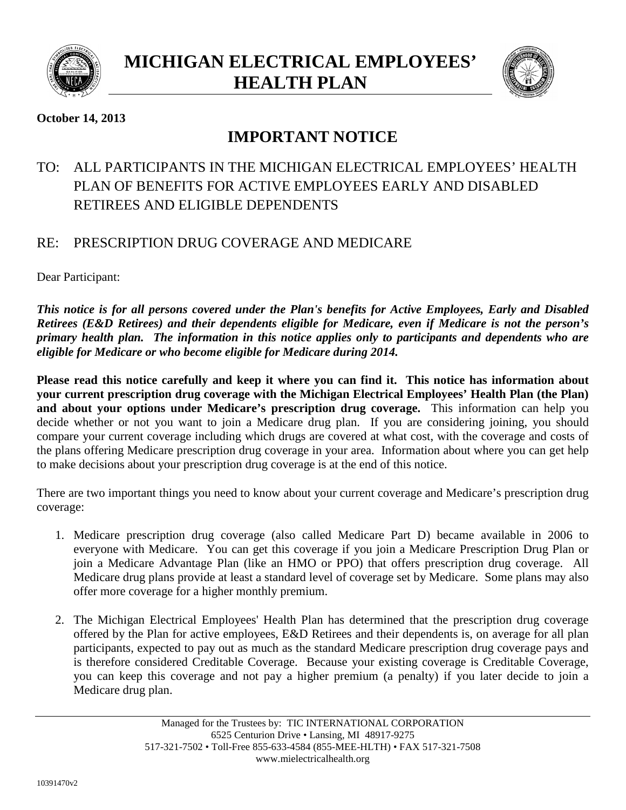



# **October 14, 2013**

# **IMPORTANT NOTICE**

# TO: ALL PARTICIPANTS IN THE MICHIGAN ELECTRICAL EMPLOYEES' HEALTH PLAN OF BENEFITS FOR ACTIVE EMPLOYEES EARLY AND DISABLED RETIREES AND ELIGIBLE DEPENDENTS

# RE: PRESCRIPTION DRUG COVERAGE AND MEDICARE

Dear Participant:

*This notice is for all persons covered under the Plan's benefits for Active Employees, Early and Disabled Retirees (E&D Retirees) and their dependents eligible for Medicare, even if Medicare is not the person's primary health plan. The information in this notice applies only to participants and dependents who are eligible for Medicare or who become eligible for Medicare during 2014.*

**Please read this notice carefully and keep it where you can find it. This notice has information about your current prescription drug coverage with the Michigan Electrical Employees' Health Plan (the Plan) and about your options under Medicare's prescription drug coverage.** This information can help you decide whether or not you want to join a Medicare drug plan. If you are considering joining, you should compare your current coverage including which drugs are covered at what cost, with the coverage and costs of the plans offering Medicare prescription drug coverage in your area. Information about where you can get help to make decisions about your prescription drug coverage is at the end of this notice.

There are two important things you need to know about your current coverage and Medicare's prescription drug coverage:

- 1. Medicare prescription drug coverage (also called Medicare Part D) became available in 2006 to everyone with Medicare. You can get this coverage if you join a Medicare Prescription Drug Plan or join a Medicare Advantage Plan (like an HMO or PPO) that offers prescription drug coverage. All Medicare drug plans provide at least a standard level of coverage set by Medicare. Some plans may also offer more coverage for a higher monthly premium.
- 2. The Michigan Electrical Employees' Health Plan has determined that the prescription drug coverage offered by the Plan for active employees, E&D Retirees and their dependents is, on average for all plan participants, expected to pay out as much as the standard Medicare prescription drug coverage pays and is therefore considered Creditable Coverage. Because your existing coverage is Creditable Coverage, you can keep this coverage and not pay a higher premium (a penalty) if you later decide to join a Medicare drug plan.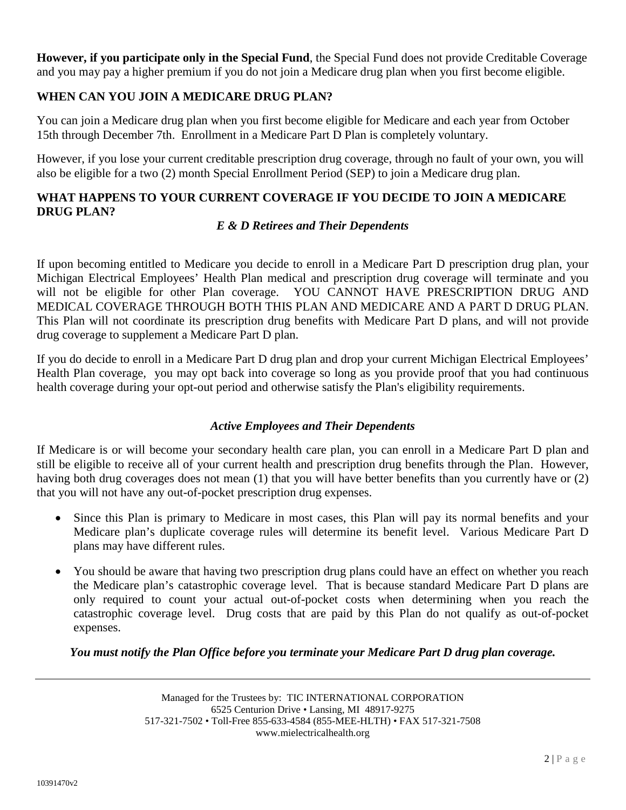**However, if you participate only in the Special Fund**, the Special Fund does not provide Creditable Coverage and you may pay a higher premium if you do not join a Medicare drug plan when you first become eligible.

#### **WHEN CAN YOU JOIN A MEDICARE DRUG PLAN?**

You can join a Medicare drug plan when you first become eligible for Medicare and each year from October 15th through December 7th. Enrollment in a Medicare Part D Plan is completely voluntary.

However, if you lose your current creditable prescription drug coverage, through no fault of your own, you will also be eligible for a two (2) month Special Enrollment Period (SEP) to join a Medicare drug plan.

# **WHAT HAPPENS TO YOUR CURRENT COVERAGE IF YOU DECIDE TO JOIN A MEDICARE DRUG PLAN?**

#### *E & D Retirees and Their Dependents*

If upon becoming entitled to Medicare you decide to enroll in a Medicare Part D prescription drug plan, your Michigan Electrical Employees' Health Plan medical and prescription drug coverage will terminate and you will not be eligible for other Plan coverage. YOU CANNOT HAVE PRESCRIPTION DRUG AND MEDICAL COVERAGE THROUGH BOTH THIS PLAN AND MEDICARE AND A PART D DRUG PLAN. This Plan will not coordinate its prescription drug benefits with Medicare Part D plans, and will not provide drug coverage to supplement a Medicare Part D plan.

If you do decide to enroll in a Medicare Part D drug plan and drop your current Michigan Electrical Employees' Health Plan coverage*,* you may opt back into coverage so long as you provide proof that you had continuous health coverage during your opt-out period and otherwise satisfy the Plan's eligibility requirements.

#### *Active Employees and Their Dependents*

If Medicare is or will become your secondary health care plan, you can enroll in a Medicare Part D plan and still be eligible to receive all of your current health and prescription drug benefits through the Plan. However, having both drug coverages does not mean (1) that you will have better benefits than you currently have or (2) that you will not have any out-of-pocket prescription drug expenses.

- Since this Plan is primary to Medicare in most cases, this Plan will pay its normal benefits and your Medicare plan's duplicate coverage rules will determine its benefit level. Various Medicare Part D plans may have different rules.
- You should be aware that having two prescription drug plans could have an effect on whether you reach the Medicare plan's catastrophic coverage level. That is because standard Medicare Part D plans are only required to count your actual out-of-pocket costs when determining when you reach the catastrophic coverage level. Drug costs that are paid by this Plan do not qualify as out-of-pocket expenses.

#### *You must notify the Plan Office before you terminate your Medicare Part D drug plan coverage.*

Managed for the Trustees by: TIC INTERNATIONAL CORPORATION 6525 Centurion Drive • Lansing, MI 48917-9275 517-321-7502 • Toll-Free 855-633-4584 (855-MEE-HLTH) • FAX 517-321-7508 www.mielectricalhealth.org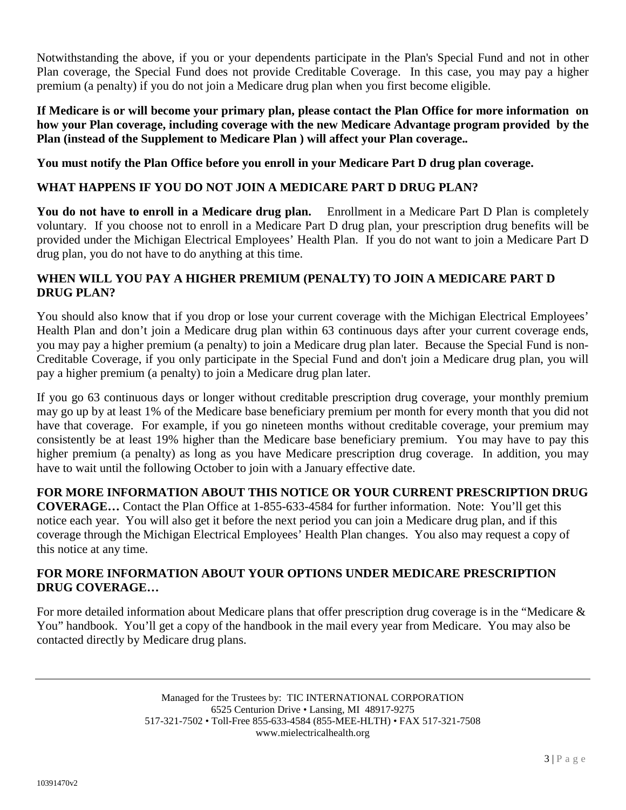Notwithstanding the above, if you or your dependents participate in the Plan's Special Fund and not in other Plan coverage, the Special Fund does not provide Creditable Coverage. In this case, you may pay a higher premium (a penalty) if you do not join a Medicare drug plan when you first become eligible.

**If Medicare is or will become your primary plan, please contact the Plan Office for more information on how your Plan coverage, including coverage with the new Medicare Advantage program provided by the Plan (instead of the Supplement to Medicare Plan ) will affect your Plan coverage.***.*

**You must notify the Plan Office before you enroll in your Medicare Part D drug plan coverage.**

# **WHAT HAPPENS IF YOU DO NOT JOIN A MEDICARE PART D DRUG PLAN?**

**You do not have to enroll in a Medicare drug plan.** Enrollment in a Medicare Part D Plan is completely voluntary. If you choose not to enroll in a Medicare Part D drug plan, your prescription drug benefits will be provided under the Michigan Electrical Employees' Health Plan. If you do not want to join a Medicare Part D drug plan, you do not have to do anything at this time.

## **WHEN WILL YOU PAY A HIGHER PREMIUM (PENALTY) TO JOIN A MEDICARE PART D DRUG PLAN?**

You should also know that if you drop or lose your current coverage with the Michigan Electrical Employees' Health Plan and don't join a Medicare drug plan within 63 continuous days after your current coverage ends, you may pay a higher premium (a penalty) to join a Medicare drug plan later. Because the Special Fund is non-Creditable Coverage, if you only participate in the Special Fund and don't join a Medicare drug plan, you will pay a higher premium (a penalty) to join a Medicare drug plan later.

If you go 63 continuous days or longer without creditable prescription drug coverage, your monthly premium may go up by at least 1% of the Medicare base beneficiary premium per month for every month that you did not have that coverage. For example, if you go nineteen months without creditable coverage, your premium may consistently be at least 19% higher than the Medicare base beneficiary premium. You may have to pay this higher premium (a penalty) as long as you have Medicare prescription drug coverage. In addition, you may have to wait until the following October to join with a January effective date.

# **FOR MORE INFORMATION ABOUT THIS NOTICE OR YOUR CURRENT PRESCRIPTION DRUG**

**COVERAGE…** Contact the Plan Office at 1-855-633-4584 for further information. Note: You'll get this notice each year. You will also get it before the next period you can join a Medicare drug plan, and if this coverage through the Michigan Electrical Employees' Health Plan changes. You also may request a copy of this notice at any time.

### **FOR MORE INFORMATION ABOUT YOUR OPTIONS UNDER MEDICARE PRESCRIPTION DRUG COVERAGE…**

For more detailed information about Medicare plans that offer prescription drug coverage is in the "Medicare & You" handbook. You'll get a copy of the handbook in the mail every year from Medicare. You may also be contacted directly by Medicare drug plans.

> Managed for the Trustees by: TIC INTERNATIONAL CORPORATION 6525 Centurion Drive • Lansing, MI 48917-9275 517-321-7502 • Toll-Free 855-633-4584 (855-MEE-HLTH) • FAX 517-321-7508 www.mielectricalhealth.org